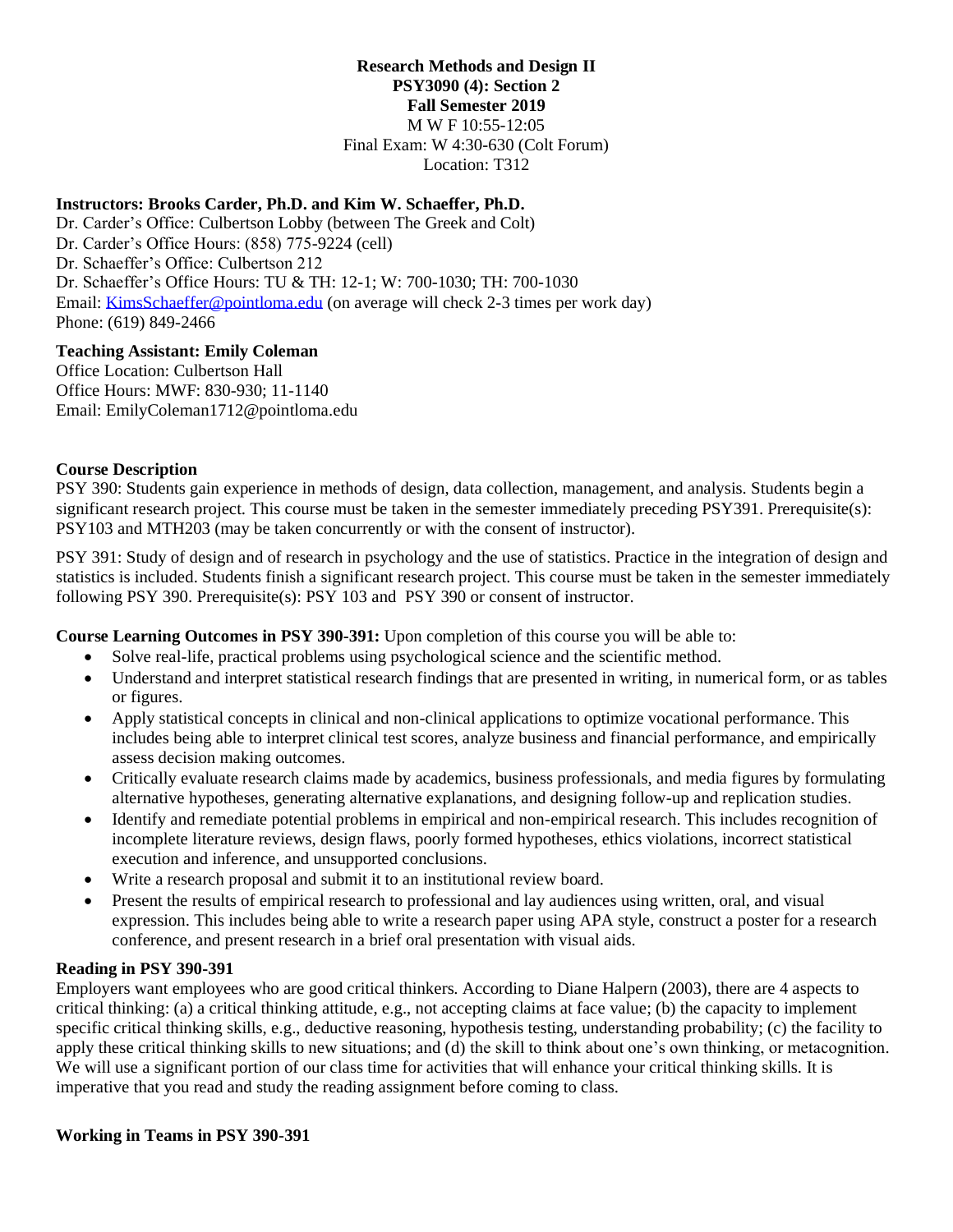## **Research Methods and Design II PSY3090 (4): Section 2**

**Fall Semester 2019**

M W F 10:55-12:05 Final Exam: W 4:30-630 (Colt Forum) Location: T312

## **Instructors: Brooks Carder, Ph.D. and Kim W. Schaeffer, Ph.D.**

Dr. Carder's Office: Culbertson Lobby (between The Greek and Colt) Dr. Carder's Office Hours: (858) 775-9224 (cell) Dr. Schaeffer's Office: Culbertson 212 Dr. Schaeffer's Office Hours: TU & TH: 12-1; W: 700-1030; TH: 700-1030 Email: [KimsSchaeffer@pointloma.edu](mailto:KimsSchaeffer@pointloma.edu) (on average will check 2-3 times per work day) Phone: (619) 849-2466

### **Teaching Assistant: Emily Coleman**

Office Location: Culbertson Hall Office Hours: MWF: 830-930; 11-1140 Email: EmilyColeman1712@pointloma.edu

## **Course Description**

PSY 390: Students gain experience in methods of design, data collection, management, and analysis. Students begin a significant research project. This course must be taken in the semester immediately preceding PSY391. Prerequisite(s): PSY103 and MTH203 (may be taken concurrently or with the consent of instructor).

PSY 391: Study of design and of research in psychology and the use of statistics. Practice in the integration of design and statistics is included. Students finish a significant research project. This course must be taken in the semester immediately following PSY 390. Prerequisite(s): PSY 103 and PSY 390 or consent of instructor.

**Course Learning Outcomes in PSY 390-391:** Upon completion of this course you will be able to:

- Solve real-life, practical problems using psychological science and the scientific method.
- Understand and interpret statistical research findings that are presented in writing, in numerical form, or as tables or figures.
- Apply statistical concepts in clinical and non-clinical applications to optimize vocational performance. This includes being able to interpret clinical test scores, analyze business and financial performance, and empirically assess decision making outcomes.
- Critically evaluate research claims made by academics, business professionals, and media figures by formulating alternative hypotheses, generating alternative explanations, and designing follow-up and replication studies.
- Identify and remediate potential problems in empirical and non-empirical research. This includes recognition of incomplete literature reviews, design flaws, poorly formed hypotheses, ethics violations, incorrect statistical execution and inference, and unsupported conclusions.
- Write a research proposal and submit it to an institutional review board.
- Present the results of empirical research to professional and lay audiences using written, oral, and visual expression. This includes being able to write a research paper using APA style, construct a poster for a research conference, and present research in a brief oral presentation with visual aids.

#### **Reading in PSY 390-391**

Employers want employees who are good critical thinkers. According to Diane Halpern (2003), there are 4 aspects to critical thinking: (a) a critical thinking attitude, e.g., not accepting claims at face value; (b) the capacity to implement specific critical thinking skills, e.g., deductive reasoning, hypothesis testing, understanding probability; (c) the facility to apply these critical thinking skills to new situations; and (d) the skill to think about one's own thinking, or metacognition. We will use a significant portion of our class time for activities that will enhance your critical thinking skills. It is imperative that you read and study the reading assignment before coming to class.

#### **Working in Teams in PSY 390-391**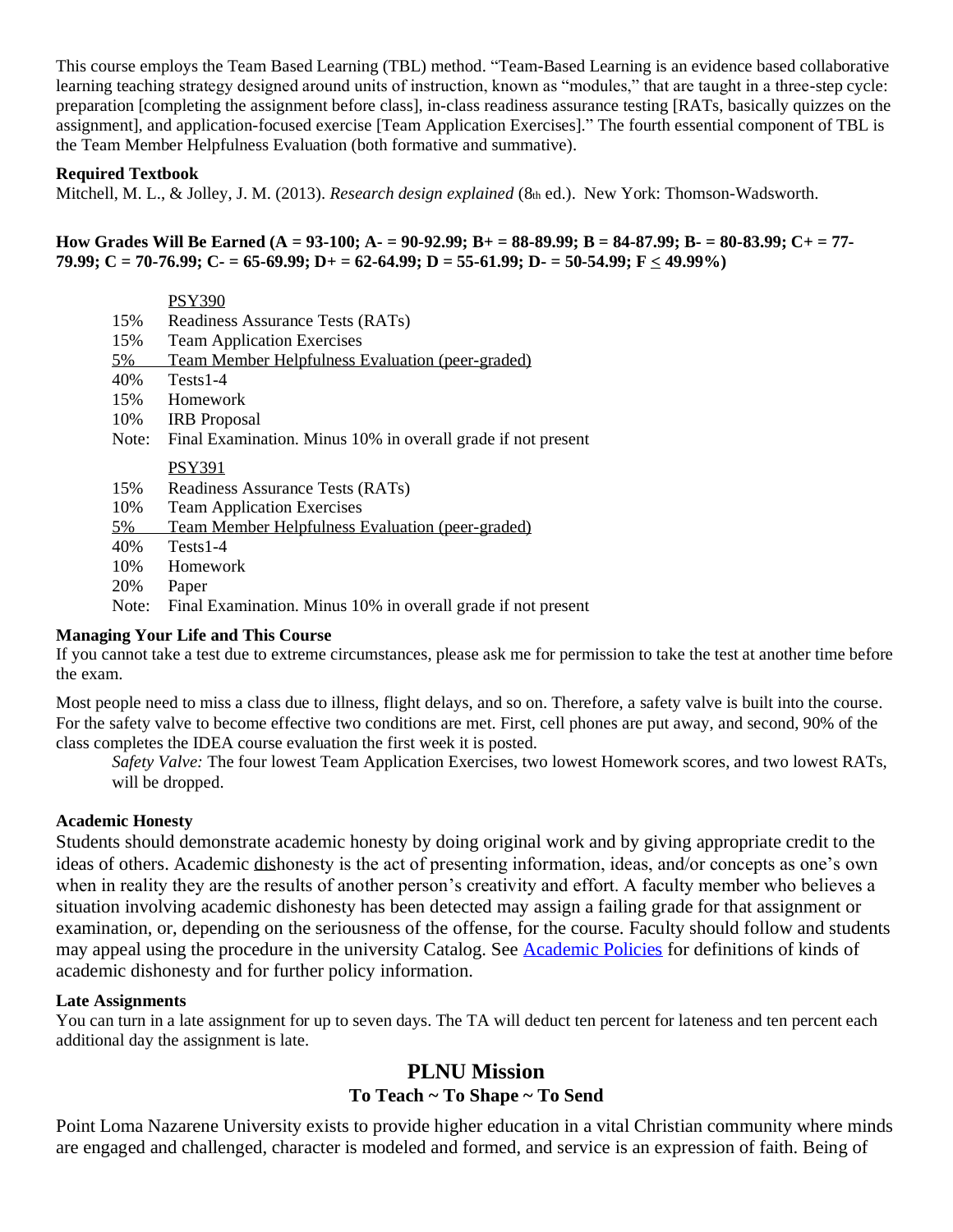This course employs the Team Based Learning (TBL) method. "Team-Based Learning is an evidence based collaborative learning teaching strategy designed around units of instruction, known as "modules," that are taught in a three-step cycle: preparation [completing the assignment before class], in-class readiness assurance testing [RATs, basically quizzes on the assignment], and application-focused exercise [Team Application Exercises]." The fourth essential component of TBL is the Team Member Helpfulness Evaluation (both formative and summative).

### **Required Textbook**

Mitchell, M. L., & Jolley, J. M. (2013). *Research design explained* (8th ed.). New York: Thomson-Wadsworth.

#### **How Grades Will Be Earned (A = 93-100; A- = 90-92.99; B+ = 88-89.99; B = 84-87.99; B- = 80-83.99; C+ = 77- 79.99; C = 70-76.99; C- = 65-69.99; D+ = 62-64.99; D = 55-61.99; D- = 50-54.99; F < 49.99%)**

|       | <b>PSY390</b>                                                |
|-------|--------------------------------------------------------------|
| 15%   | Readiness Assurance Tests (RATs)                             |
| 15%   | <b>Team Application Exercises</b>                            |
| 5%    | Team Member Helpfulness Evaluation (peer-graded)             |
| 40%   | $Tests1-4$                                                   |
| 15%   | Homework                                                     |
| 10%   | <b>IRB</b> Proposal                                          |
| Note: | Final Examination. Minus 10% in overall grade if not present |
|       | PSY391                                                       |
| 15%   | Readiness Assurance Tests (RATs)                             |
| 10%   | <b>Team Application Exercises</b>                            |
| 5%    | Team Member Helpfulness Evaluation (peer-graded)             |
| 40%   | $Tests1-4$                                                   |
| 10%   | Homework                                                     |
| 20%   | Paper                                                        |
| Note: | Final Examination. Minus 10% in overall grade if not present |

#### **Managing Your Life and This Course**

If you cannot take a test due to extreme circumstances, please ask me for permission to take the test at another time before the exam.

Most people need to miss a class due to illness, flight delays, and so on. Therefore, a safety valve is built into the course. For the safety valve to become effective two conditions are met. First, cell phones are put away, and second, 90% of the class completes the IDEA course evaluation the first week it is posted.

*Safety Valve:* The four lowest Team Application Exercises, two lowest Homework scores, and two lowest RATs, will be dropped.

## **Academic Honesty**

Students should demonstrate academic honesty by doing original work and by giving appropriate credit to the ideas of others. Academic dishonesty is the act of presenting information, ideas, and/or concepts as one's own when in reality they are the results of another person's creativity and effort. A faculty member who believes a situation involving academic dishonesty has been detected may assign a failing grade for that assignment or examination, or, depending on the seriousness of the offense, for the course. Faculty should follow and students may appeal using the procedure in the university Catalog. See [Academic Policies](http://catalog.pointloma.edu/content.php?catoid=18&navoid=1278) for definitions of kinds of academic dishonesty and for further policy information.

### **Late Assignments**

You can turn in a late assignment for up to seven days. The TA will deduct ten percent for lateness and ten percent each additional day the assignment is late.

## **PLNU Mission To Teach ~ To Shape ~ To Send**

Point Loma Nazarene University exists to provide higher education in a vital Christian community where minds are engaged and challenged, character is modeled and formed, and service is an expression of faith. Being of